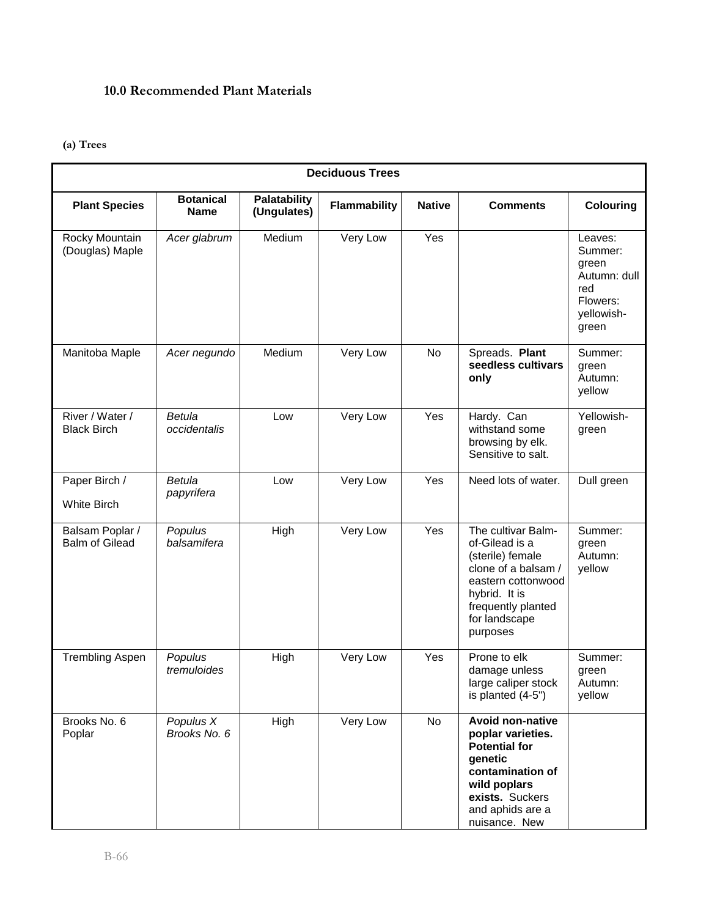## **10.0 Recommended Plant Materials**

## **(a) Trees**

| <b>Deciduous Trees</b>                   |                                 |                                    |                     |               |                                                                                                                                                                             |                                                                                       |
|------------------------------------------|---------------------------------|------------------------------------|---------------------|---------------|-----------------------------------------------------------------------------------------------------------------------------------------------------------------------------|---------------------------------------------------------------------------------------|
| <b>Plant Species</b>                     | <b>Botanical</b><br><b>Name</b> | <b>Palatability</b><br>(Ungulates) | <b>Flammability</b> | <b>Native</b> | <b>Comments</b>                                                                                                                                                             | Colouring                                                                             |
| Rocky Mountain<br>(Douglas) Maple        | Acer glabrum                    | Medium                             | Very Low            | Yes           |                                                                                                                                                                             | Leaves:<br>Summer:<br>green<br>Autumn: dull<br>red<br>Flowers:<br>yellowish-<br>green |
| Manitoba Maple                           | Acer negundo                    | Medium                             | Very Low            | No            | Spreads. Plant<br>seedless cultivars<br>only                                                                                                                                | Summer:<br>green<br>Autumn:<br>yellow                                                 |
| River / Water /<br><b>Black Birch</b>    | <b>Betula</b><br>occidentalis   | Low                                | Very Low            | Yes           | Hardy. Can<br>withstand some<br>browsing by elk.<br>Sensitive to salt.                                                                                                      | Yellowish-<br>green                                                                   |
| Paper Birch /<br><b>White Birch</b>      | <b>Betula</b><br>papyrifera     | Low                                | Very Low            | Yes           | Need lots of water.                                                                                                                                                         | Dull green                                                                            |
| Balsam Poplar /<br><b>Balm of Gilead</b> | Populus<br>balsamifera          | High                               | Very Low            | Yes           | The cultivar Balm-<br>of-Gilead is a<br>(sterile) female<br>clone of a balsam /<br>eastern cottonwood<br>hybrid. It is<br>frequently planted<br>for landscape<br>purposes   | Summer:<br>green<br>Autumn:<br>yellow                                                 |
| <b>Trembling Aspen</b>                   | Populus<br>tremuloides          | High                               | Very Low            | Yes           | Prone to elk<br>damage unless<br>large caliper stock<br>is planted (4-5")                                                                                                   | Summer:<br>green<br>Autumn:<br>yellow                                                 |
| Brooks No. 6<br>Poplar                   | Populus X<br>Brooks No. 6       | High                               | Very Low            | No            | <b>Avoid non-native</b><br>poplar varieties.<br><b>Potential for</b><br>qenetic<br>contamination of<br>wild poplars<br>exists. Suckers<br>and aphids are a<br>nuisance. New |                                                                                       |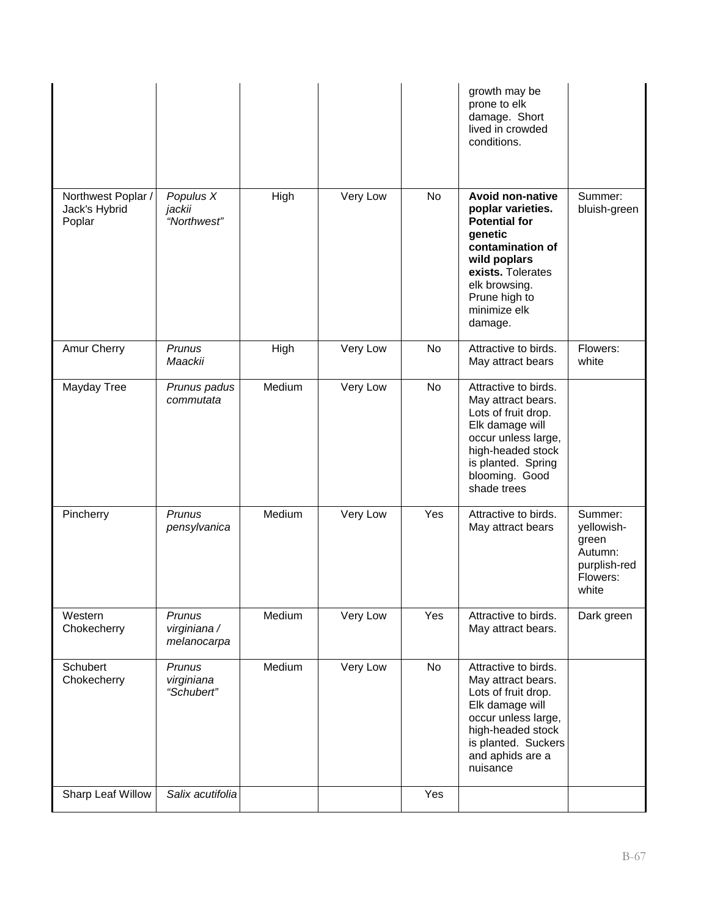|                                               |                                       |        |          |     | growth may be<br>prone to elk<br>damage. Short<br>lived in crowded<br>conditions.                                                                                                                     |                                                                                |
|-----------------------------------------------|---------------------------------------|--------|----------|-----|-------------------------------------------------------------------------------------------------------------------------------------------------------------------------------------------------------|--------------------------------------------------------------------------------|
| Northwest Poplar /<br>Jack's Hybrid<br>Poplar | Populus X<br>jackii<br>"Northwest"    | High   | Very Low | No  | <b>Avoid non-native</b><br>poplar varieties.<br><b>Potential for</b><br>genetic<br>contamination of<br>wild poplars<br>exists. Tolerates<br>elk browsing.<br>Prune high to<br>minimize elk<br>damage. | Summer:<br>bluish-green                                                        |
| Amur Cherry                                   | Prunus<br>Maackii                     | High   | Very Low | No  | Attractive to birds.<br>May attract bears                                                                                                                                                             | Flowers:<br>white                                                              |
| Mayday Tree                                   | Prunus padus<br>commutata             | Medium | Very Low | No  | Attractive to birds.<br>May attract bears.<br>Lots of fruit drop.<br>Elk damage will<br>occur unless large,<br>high-headed stock<br>is planted. Spring<br>blooming. Good<br>shade trees               |                                                                                |
| Pincherry                                     | Prunus<br>pensylvanica                | Medium | Very Low | Yes | Attractive to birds.<br>May attract bears                                                                                                                                                             | Summer:<br>yellowish-<br>green<br>Autumn:<br>purplish-red<br>Flowers:<br>white |
| Western<br>Chokecherry                        | Prunus<br>virginiana /<br>melanocarpa | Medium | Very Low | Yes | Attractive to birds.<br>May attract bears.                                                                                                                                                            | Dark green                                                                     |
| Schubert<br>Chokecherry                       | Prunus<br>virginiana<br>"Schubert"    | Medium | Very Low | No  | Attractive to birds.<br>May attract bears.<br>Lots of fruit drop.<br>Elk damage will<br>occur unless large,<br>high-headed stock<br>is planted. Suckers<br>and aphids are a<br>nuisance               |                                                                                |
| Sharp Leaf Willow                             | Salix acutifolia                      |        |          | Yes |                                                                                                                                                                                                       |                                                                                |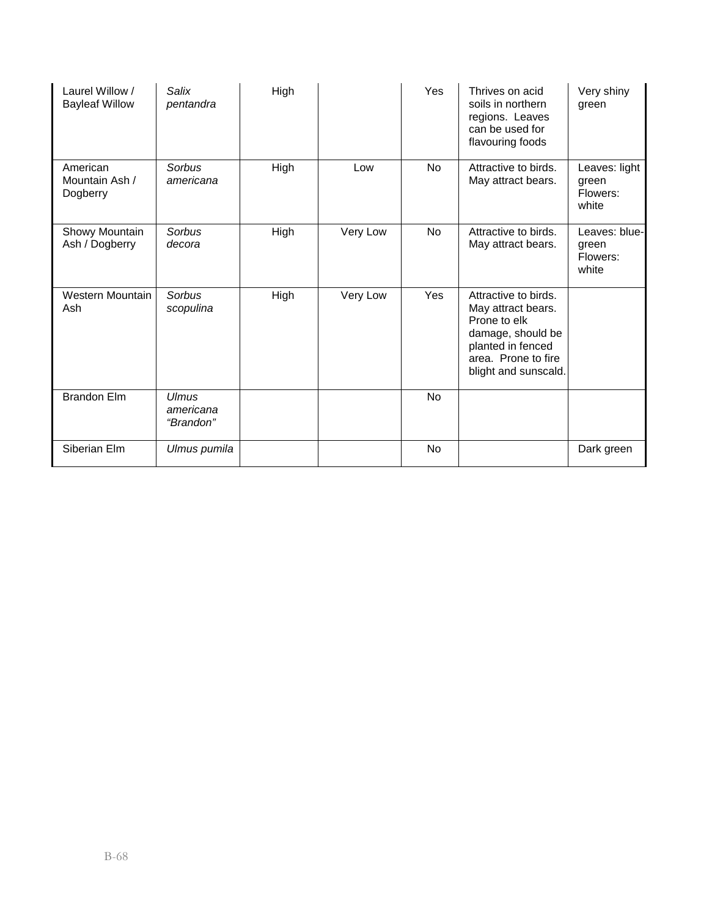| Laurel Willow /<br><b>Bayleaf Willow</b> | Salix<br>pentandra                     | High |          | Yes            | Thrives on acid<br>soils in northern<br>regions. Leaves<br>can be used for<br>flavouring foods                                                      | Very shiny<br>green                         |
|------------------------------------------|----------------------------------------|------|----------|----------------|-----------------------------------------------------------------------------------------------------------------------------------------------------|---------------------------------------------|
| American<br>Mountain Ash /<br>Dogberry   | Sorbus<br>americana                    | High | Low      | No             | Attractive to birds.<br>May attract bears.                                                                                                          | Leaves: light<br>green<br>Flowers:<br>white |
| Showy Mountain<br>Ash / Dogberry         | Sorbus<br>decora                       | High | Very Low | No             | Attractive to birds.<br>May attract bears.                                                                                                          | Leaves: blue-<br>green<br>Flowers:<br>white |
| Western Mountain<br>Ash                  | Sorbus<br>scopulina                    | High | Very Low | Yes            | Attractive to birds.<br>May attract bears.<br>Prone to elk<br>damage, should be<br>planted in fenced<br>area. Prone to fire<br>blight and sunscald. |                                             |
| <b>Brandon Elm</b>                       | <b>Ulmus</b><br>americana<br>"Brandon" |      |          | <b>No</b>      |                                                                                                                                                     |                                             |
| Siberian Elm                             | Ulmus pumila                           |      |          | N <sub>o</sub> |                                                                                                                                                     | Dark green                                  |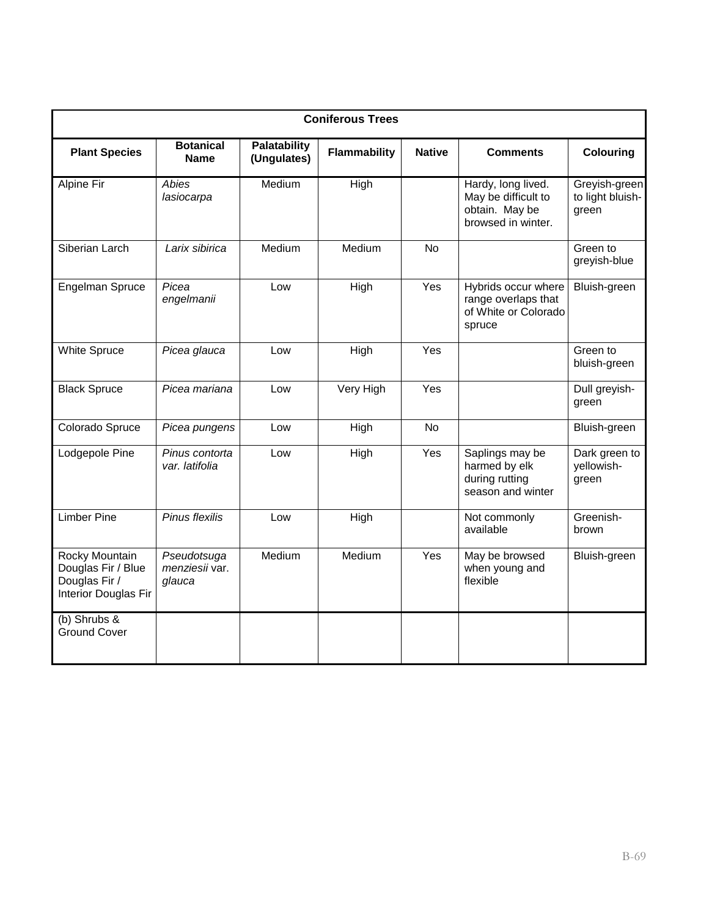| <b>Coniferous Trees</b>                                                       |                                         |                             |              |               |                                                                                   |                                            |  |
|-------------------------------------------------------------------------------|-----------------------------------------|-----------------------------|--------------|---------------|-----------------------------------------------------------------------------------|--------------------------------------------|--|
| <b>Plant Species</b>                                                          | <b>Botanical</b><br><b>Name</b>         | Palatability<br>(Ungulates) | Flammability | <b>Native</b> | <b>Comments</b>                                                                   | <b>Colouring</b>                           |  |
| Alpine Fir                                                                    | Abies<br>lasiocarpa                     | Medium                      | High         |               | Hardy, long lived.<br>May be difficult to<br>obtain. May be<br>browsed in winter. | Greyish-green<br>to light bluish-<br>green |  |
| Siberian Larch                                                                | Larix sibirica                          | Medium                      | Medium       | <b>No</b>     |                                                                                   | Green to<br>greyish-blue                   |  |
| Engelman Spruce                                                               | Picea<br>engelmanii                     | Low                         | High         | Yes           | Hybrids occur where<br>range overlaps that<br>of White or Colorado<br>spruce      | Bluish-green                               |  |
| <b>White Spruce</b>                                                           | Picea glauca                            | Low                         | High         | Yes           |                                                                                   | Green to<br>bluish-green                   |  |
| <b>Black Spruce</b>                                                           | Picea mariana                           | Low                         | Very High    | Yes           |                                                                                   | Dull greyish-<br>green                     |  |
| Colorado Spruce                                                               | Picea pungens                           | Low                         | High         | No            |                                                                                   | Bluish-green                               |  |
| Lodgepole Pine                                                                | Pinus contorta<br>var. latifolia        | Low                         | High         | Yes           | Saplings may be<br>harmed by elk<br>during rutting<br>season and winter           | Dark green to<br>yellowish-<br>green       |  |
| <b>Limber Pine</b>                                                            | Pinus flexilis                          | Low                         | High         |               | Not commonly<br>available                                                         | Greenish-<br>brown                         |  |
| Rocky Mountain<br>Douglas Fir / Blue<br>Douglas Fir /<br>Interior Douglas Fir | Pseudotsuga<br>menziesii var.<br>glauca | Medium                      | Medium       | Yes           | May be browsed<br>when young and<br>flexible                                      | Bluish-green                               |  |
| (b) Shrubs $\overline{\&}$<br><b>Ground Cover</b>                             |                                         |                             |              |               |                                                                                   |                                            |  |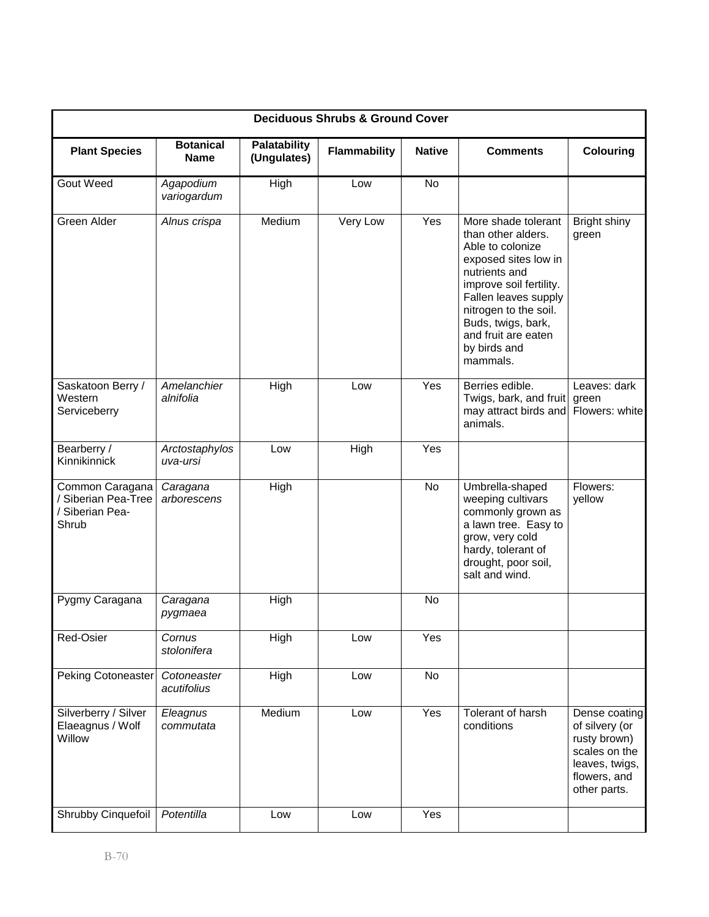| <b>Deciduous Shrubs &amp; Ground Cover</b>                         |                            |                                    |                     |               |                                                                                                                                                                                                                                                             |                                                                                                                    |  |
|--------------------------------------------------------------------|----------------------------|------------------------------------|---------------------|---------------|-------------------------------------------------------------------------------------------------------------------------------------------------------------------------------------------------------------------------------------------------------------|--------------------------------------------------------------------------------------------------------------------|--|
| <b>Plant Species</b>                                               | <b>Botanical</b><br>Name   | <b>Palatability</b><br>(Ungulates) | <b>Flammability</b> | <b>Native</b> | <b>Comments</b>                                                                                                                                                                                                                                             | <b>Colouring</b>                                                                                                   |  |
| Gout Weed                                                          | Agapodium<br>variogardum   | High                               | Low                 | <b>No</b>     |                                                                                                                                                                                                                                                             |                                                                                                                    |  |
| Green Alder                                                        | Alnus crispa               | Medium                             | Very Low            | Yes           | More shade tolerant<br>than other alders.<br>Able to colonize<br>exposed sites low in<br>nutrients and<br>improve soil fertility.<br>Fallen leaves supply<br>nitrogen to the soil.<br>Buds, twigs, bark,<br>and fruit are eaten<br>by birds and<br>mammals. | Bright shiny<br>green                                                                                              |  |
| Saskatoon Berry /<br>Western<br>Serviceberry                       | Amelanchier<br>alnifolia   | High                               | Low                 | Yes           | Berries edible.<br>Twigs, bark, and fruit<br>may attract birds and<br>animals.                                                                                                                                                                              | Leaves: dark<br>green<br>Flowers: white                                                                            |  |
| Bearberry /<br>Kinnikinnick                                        | Arctostaphylos<br>uva-ursi | Low                                | High                | Yes           |                                                                                                                                                                                                                                                             |                                                                                                                    |  |
| Common Caragana<br>/ Siberian Pea-Tree<br>/ Siberian Pea-<br>Shrub | Caragana<br>arborescens    | High                               |                     | No            | Umbrella-shaped<br>weeping cultivars<br>commonly grown as<br>a lawn tree. Easy to<br>grow, very cold<br>hardy, tolerant of<br>drought, poor soil,<br>salt and wind.                                                                                         | Flowers:<br>yellow                                                                                                 |  |
| Pygmy Caragana                                                     | Caragana<br>pygmaea        | High                               |                     | <b>No</b>     |                                                                                                                                                                                                                                                             |                                                                                                                    |  |
| Red-Osier                                                          | Cornus<br>stolonifera      | High                               | Low                 | Yes           |                                                                                                                                                                                                                                                             |                                                                                                                    |  |
| Peking Cotoneaster                                                 | Cotoneaster<br>acutifolius | High                               | Low                 | No            |                                                                                                                                                                                                                                                             |                                                                                                                    |  |
| Silverberry / Silver<br>Elaeagnus / Wolf<br>Willow                 | Eleagnus<br>commutata      | Medium                             | Low                 | Yes           | Tolerant of harsh<br>conditions                                                                                                                                                                                                                             | Dense coating<br>of silvery (or<br>rusty brown)<br>scales on the<br>leaves, twigs,<br>flowers, and<br>other parts. |  |
| Shrubby Cinquefoil                                                 | Potentilla                 | Low                                | Low                 | Yes           |                                                                                                                                                                                                                                                             |                                                                                                                    |  |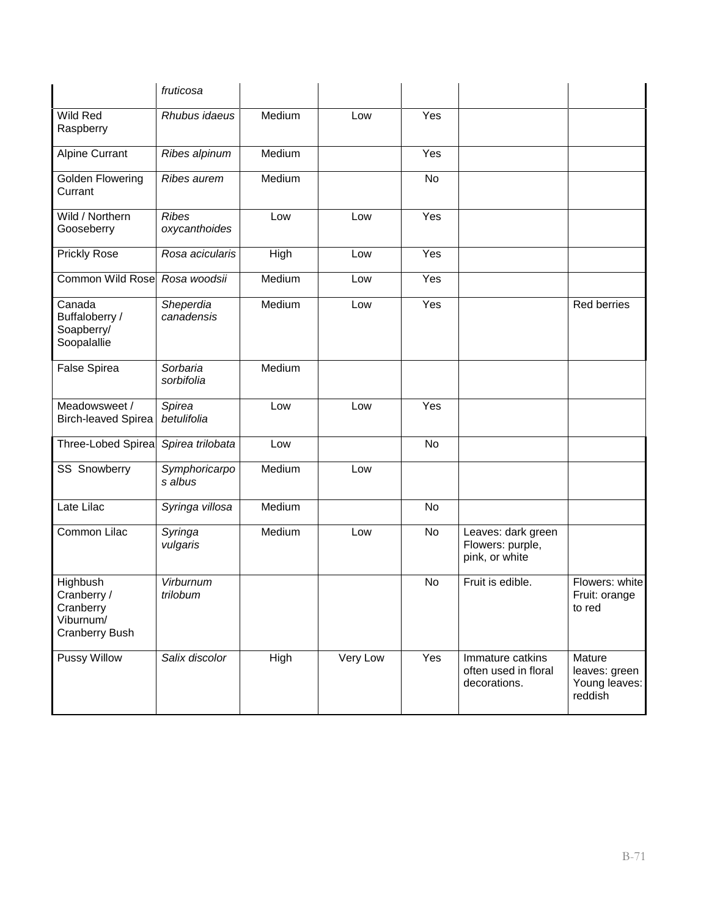|                                                                            | fruticosa                     |        |          |           |                                                          |                                                     |
|----------------------------------------------------------------------------|-------------------------------|--------|----------|-----------|----------------------------------------------------------|-----------------------------------------------------|
| Wild Red<br>Raspberry                                                      | Rhubus idaeus                 | Medium | Low      | Yes       |                                                          |                                                     |
| <b>Alpine Currant</b>                                                      | Ribes alpinum                 | Medium |          | Yes       |                                                          |                                                     |
| Golden Flowering<br>Currant                                                | Ribes aurem                   | Medium |          | <b>No</b> |                                                          |                                                     |
| Wild / Northern<br>Gooseberry                                              | <b>Ribes</b><br>oxycanthoides | Low    | Low      | Yes       |                                                          |                                                     |
| <b>Prickly Rose</b>                                                        | Rosa acicularis               | High   | Low      | Yes       |                                                          |                                                     |
| Common Wild Rose Rosa woodsii                                              |                               | Medium | Low      | Yes       |                                                          |                                                     |
| Canada<br>Buffaloberry /<br>Soapberry/<br>Soopalallie                      | Sheperdia<br>canadensis       | Medium | Low      | Yes       |                                                          | <b>Red berries</b>                                  |
| <b>False Spirea</b>                                                        | Sorbaria<br>sorbifolia        | Medium |          |           |                                                          |                                                     |
| Meadowsweet /<br><b>Birch-leaved Spirea</b>                                | Spirea<br>betulifolia         | Low    | Low      | Yes       |                                                          |                                                     |
| Three-Lobed Spirea                                                         | Spirea trilobata              | Low    |          | <b>No</b> |                                                          |                                                     |
| <b>SS Snowberry</b>                                                        | Symphoricarpo<br>s albus      | Medium | Low      |           |                                                          |                                                     |
| Late Lilac                                                                 | Syringa villosa               | Medium |          | No        |                                                          |                                                     |
| Common Lilac                                                               | Syringa<br>vulgaris           | Medium | Low      | No        | Leaves: dark green<br>Flowers: purple,<br>pink, or white |                                                     |
| Highbush<br>Cranberry /<br>Cranberry<br>Viburnum/<br><b>Cranberry Bush</b> | Virburnum<br>trilobum         |        |          | No        | Fruit is edible.                                         | Flowers: white<br>Fruit: orange<br>to red           |
| Pussy Willow                                                               | Salix discolor                | High   | Very Low | Yes       | Immature catkins<br>often used in floral<br>decorations. | Mature<br>leaves: green<br>Young leaves:<br>reddish |